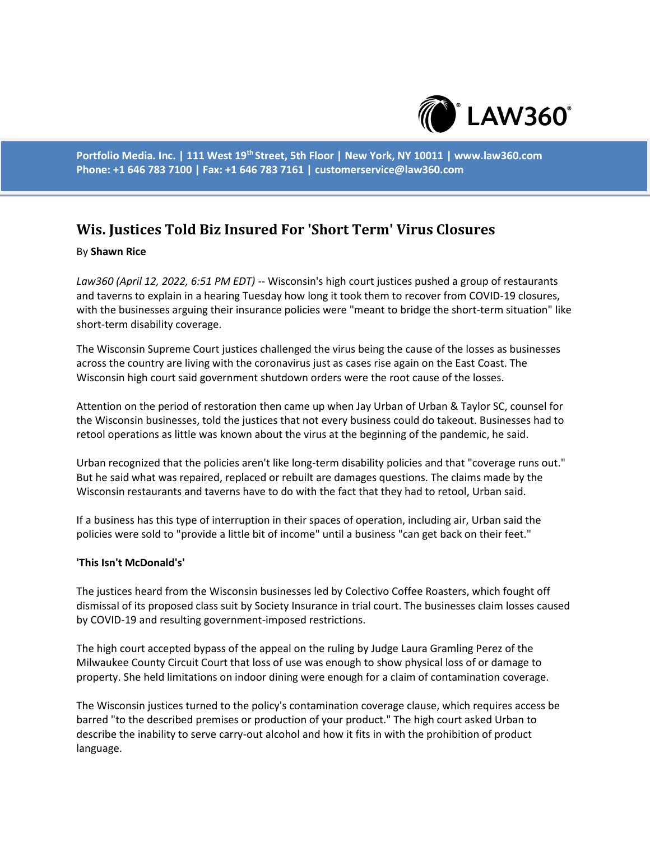

**Portfolio Media. Inc. | 111 West 19th Street, 5th Floor | New York, NY 10011 | www.law360.com Phone: +1 646 783 7100 | Fax: +1 646 783 7161 | customerservice@law360.com**

## **Wis. Justices Told Biz Insured For 'Short Term' Virus Closures**

## By **Shawn Rice**

*Law360 (April 12, 2022, 6:51 PM EDT)* -- Wisconsin's high court justices pushed a group of restaurants and taverns to explain in a hearing Tuesday how long it took them to recover from COVID-19 closures, with the businesses arguing their insurance policies were "meant to bridge the short-term situation" like short-term disability coverage.

The Wisconsin Supreme Court justices challenged the virus being the cause of the losses as businesses across the country are living with the coronavirus just as cases rise again on the East Coast. The Wisconsin high court said government shutdown orders were the root cause of the losses.

Attention on the period of restoration then came up when Jay Urban of Urban & Taylor SC, counsel for the Wisconsin businesses, told the justices that not every business could do takeout. Businesses had to retool operations as little was known about the virus at the beginning of the pandemic, he said.

Urban recognized that the policies aren't like long-term disability policies and that "coverage runs out." But he said what was repaired, replaced or rebuilt are damages questions. The claims made by the Wisconsin restaurants and taverns have to do with the fact that they had to retool, Urban said.

If a business has this type of interruption in their spaces of operation, including air, Urban said the policies were sold to "provide a little bit of income" until a business "can get back on their feet."

## **'This Isn't McDonald's'**

The justices heard from the Wisconsin businesses led by Colectivo Coffee Roasters, which fought off dismissal of its proposed class suit by Society Insurance in trial court. The businesses claim losses caused by COVID-19 and resulting government-imposed restrictions.

The high court accepted bypass of the appeal on the ruling by Judge Laura Gramling Perez of the Milwaukee County Circuit Court that loss of use was enough to show physical loss of or damage to property. She held limitations on indoor dining were enough for a claim of contamination coverage.

The Wisconsin justices turned to the policy's contamination coverage clause, which requires access be barred "to the described premises or production of your product." The high court asked Urban to describe the inability to serve carry-out alcohol and how it fits in with the prohibition of product language.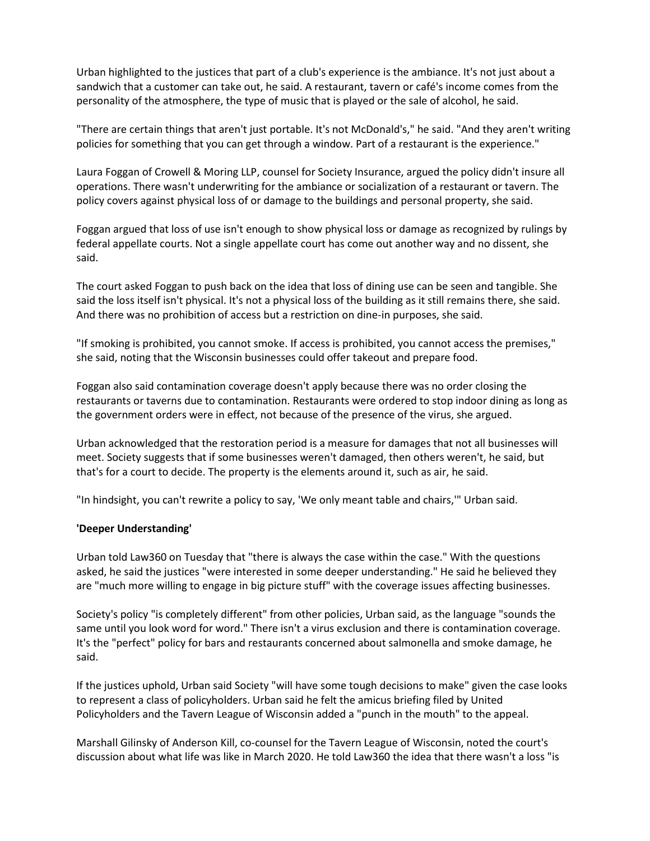Urban highlighted to the justices that part of a club's experience is the ambiance. It's not just about a sandwich that a customer can take out, he said. A restaurant, tavern or café's income comes from the personality of the atmosphere, the type of music that is played or the sale of alcohol, he said.

"There are certain things that aren't just portable. It's not McDonald's," he said. "And they aren't writing policies for something that you can get through a window. Part of a restaurant is the experience."

Laura Foggan of Crowell & Moring LLP, counsel for Society Insurance, argued the policy didn't insure all operations. There wasn't underwriting for the ambiance or socialization of a restaurant or tavern. The policy covers against physical loss of or damage to the buildings and personal property, she said.

Foggan argued that loss of use isn't enough to show physical loss or damage as recognized by rulings by federal appellate courts. Not a single appellate court has come out another way and no dissent, she said.

The court asked Foggan to push back on the idea that loss of dining use can be seen and tangible. She said the loss itself isn't physical. It's not a physical loss of the building as it still remains there, she said. And there was no prohibition of access but a restriction on dine-in purposes, she said.

"If smoking is prohibited, you cannot smoke. If access is prohibited, you cannot access the premises," she said, noting that the Wisconsin businesses could offer takeout and prepare food.

Foggan also said contamination coverage doesn't apply because there was no order closing the restaurants or taverns due to contamination. Restaurants were ordered to stop indoor dining as long as the government orders were in effect, not because of the presence of the virus, she argued.

Urban acknowledged that the restoration period is a measure for damages that not all businesses will meet. Society suggests that if some businesses weren't damaged, then others weren't, he said, but that's for a court to decide. The property is the elements around it, such as air, he said.

"In hindsight, you can't rewrite a policy to say, 'We only meant table and chairs,'" Urban said.

## **'Deeper Understanding'**

Urban told Law360 on Tuesday that "there is always the case within the case." With the questions asked, he said the justices "were interested in some deeper understanding." He said he believed they are "much more willing to engage in big picture stuff" with the coverage issues affecting businesses.

Society's policy "is completely different" from other policies, Urban said, as the language "sounds the same until you look word for word." There isn't a virus exclusion and there is contamination coverage. It's the "perfect" policy for bars and restaurants concerned about salmonella and smoke damage, he said.

If the justices uphold, Urban said Society "will have some tough decisions to make" given the case looks to represent a class of policyholders. Urban said he felt the amicus briefing filed by United Policyholders and the Tavern League of Wisconsin added a "punch in the mouth" to the appeal.

Marshall Gilinsky of Anderson Kill, co-counsel for the Tavern League of Wisconsin, noted the court's discussion about what life was like in March 2020. He told Law360 the idea that there wasn't a loss "is